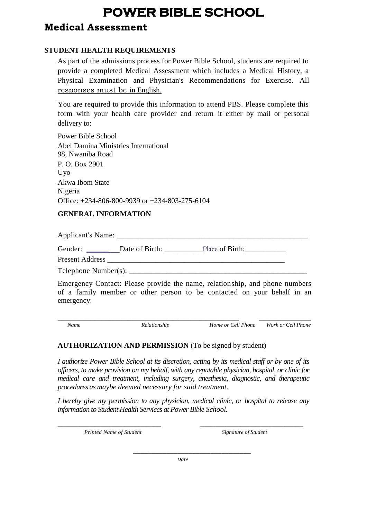# **POWER BIBLE SCHOOL**

## **Medical Assessment**

### **STUDENT HEALTH REQUIREMENTS**

As part of the admissions process for Power Bible School, students are required to provide a completed Medical Assessment which includes a Medical History, a Physical Examination and Physician's Recommendations for Exercise. All responses must be in English.

You are required to provide this information to attend PBS. Please complete this form with your health care provider and return it either by mail or personal delivery to:

Power Bible School Abel Damina Ministries International 98, Nwaniba Road P. O. Box 2901 Uyo Akwa Ibom State Nigeria Office: +234-806-800-9939 or +234-803-275-6104

### **GENERAL INFORMATION**

Applicant's Name:

Gender: \_\_\_\_\_\_ Date of Birth: \_\_\_\_\_\_\_\_\_\_Place of Birth:\_\_\_\_\_\_\_\_\_\_\_

Present Address

 $Telenbone$   $Number(s)$ :

Emergency Contact: Please provide the name, relationship, and phone numbers of a family member or other person to be contacted on your behalf in an emergency:

**\_\_\_\_\_\_\_\_\_\_\_\_\_\_\_\_\_\_\_\_\_\_\_\_\_\_\_\_\_\_\_\_\_\_\_\_\_\_\_\_\_\_\_\_\_\_\_\_\_ \_\_\_\_\_\_\_\_\_\_\_\_\_\_**  *Name Relationship Home or Cell Phone Work or Cell Phone* 

#### **AUTHORIZATION AND PERMISSION** (To be signed by student)

*I authorize Power Bible School at its discretion, acting by its medical staff or by one of its officers, to make provision on my behalf, with any reputable physician, hospital, or clinic for medical care and treatment, including surgery, anesthesia, diagnostic, and therapeutic procedures as maybe deemed necessary for said treatment.*

*I hereby give my permission to any physician, medical clinic, or hospital to release any information to Student Health Services at Power Bible School.*

\_\_\_\_\_\_\_\_\_\_\_\_\_\_\_\_\_\_\_\_\_\_\_\_\_\_\_\_ \_\_\_\_\_\_\_\_\_\_\_\_\_\_\_\_\_\_\_\_\_\_\_\_\_\_\_\_

*Printed Name of Student Signature of Student*

\_\_\_\_\_\_\_\_\_\_\_\_\_\_\_\_\_\_\_\_\_\_\_\_\_\_\_\_\_\_\_\_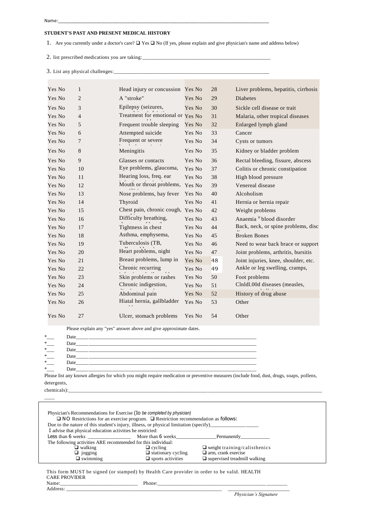#### **STUDENT'S PAST AND PRESENT MEDICAL HISTORY**

1. Are you currently under a doctor's care?  $\Box$  Yes  $\Box$  No (If yes, please explain and give physician's name and address below)

2. list prescribed medications you are taking:

3. List any physical challenges:

| Yes No | 1              | Head injury or concussion Yes No  |        | 28 | Liver problems, hepatitis, cirrhosis |
|--------|----------------|-----------------------------------|--------|----|--------------------------------------|
| Yes No | $\overline{c}$ | A "stroke"                        | Yes No | 29 | <b>Diabetes</b>                      |
| Yes No | 3              | Epilepsy (seizures,               | Yes No | 30 | Sickle cell disease or trait         |
| Yes No | $\overline{4}$ | Treatment for emotional or Yes No |        | 31 | Malaria, other tropical diseases     |
| Yes No | 5              | Frequent trouble sleeping         | Yes No | 32 | Enlarged lymph gland                 |
| Yes No | 6              | Attempted suicide                 | Yes No | 33 | Cancer                               |
| Yes No | 7              | Frequent or severe                | Yes No | 34 | Cysts or tumors                      |
| Yes No | 8              | Meningitis                        | Yes No | 35 | Kidney or bladder problem            |
| Yes No | 9              | Glasses or contacts               | Yes No | 36 | Rectal bleeding, fissure, abscess    |
| Yes No | 10             | Eye problems, glaucoma,           | Yes No | 37 | Colitis or chronic constipation      |
| Yes No | 11             | Hearing loss, freq. ear           | Yes No | 38 | High blood pressure                  |
| Yes No | 12             | Mouth or throat problems,         | Yes No | 39 | Venereal disease                     |
| Yes No | 13             | Nose problems, hay fever          | Yes No | 40 | Alcoholism                           |
| Yes No | 14             | Thyroid                           | Yes No | 41 | Hernia or hernia repair              |
| Yes No | 15             | Chest pain, chronic cough, Yes No |        | 42 | Weight problems                      |
| Yes No | 16             | Difficulty breathing,             | Yes No | 43 | Anaemia <sup>it</sup> blood disorder |
| Yes No | 17             | Tightness in chest                | Yes No | 44 | Back, neck, or spine problems, disc  |
| Yes No | 18             | Asthma, emphysema,                | Yes No | 45 | <b>Broken Bones</b>                  |
| Yes No | 19             | Tuberculosis (TB,                 | Yes No | 46 | Need to wear back brace or support   |
| Yes No | 20             | Heart problems, night             | Yes No | 47 | Joint problems, arthritis, bursitis  |
| Yes No | 21             | Breast problems, lump in          | Yes No | 48 | Joint injuries, knee, shoulder, etc. |
| Yes No | 22             | Chronic recurring                 | Yes No | 49 | Ankle or leg swelling, cramps,       |
| Yes No | 23             | Skin problems or rashes           | Yes No | 50 | Foot problems                        |
| Yes No | 24             | Chronic indigestion,              | Yes No | 51 | Clnldl.00d diseases (measles,        |
| Yes No | 25             | Abdominal pain                    | Yes No | 52 | History of drug abuse                |
| Yes No | 26             | Hiatal hernia, gallbladder        | Yes No | 53 | Other                                |
| Yes No | 27             | Ulcer, stomach problems           | Yes No | 54 | Other                                |

Please explain any "yes" answer above and give approximate dates.

| *      | Date |
|--------|------|
| $*$    | Date |
| $\ast$ | Date |
| $\ast$ | Date |
| $\ast$ | Date |
| ×.     | Date |

Please list any known allergies for which you might require medication or preventive measures (include food, dust, drugs, soaps, pollens, detergents,

chemicals):\_\_\_\_\_\_\_\_\_\_\_\_\_\_\_\_\_\_\_\_\_\_\_\_\_\_\_\_\_\_\_\_\_\_\_\_\_\_\_\_\_\_\_\_\_\_\_\_\_\_\_\_\_\_\_\_\_\_\_\_\_\_\_\_\_\_\_\_\_\_\_\_\_\_\_\_\_\_\_\_\_\_\_\_\_\_\_\_\_\_\_\_\_\_\_\_\_\_

 $\overline{\phantom{a}}$ 

| Physician's Recommendations for Exercise (Io be completed by physician)<br>$\square$ NO Restrictions for an exercise program. $\square$ Restriction recommendation as follows: |                           |                                     |  |  |  |
|--------------------------------------------------------------------------------------------------------------------------------------------------------------------------------|---------------------------|-------------------------------------|--|--|--|
| Due to the nature of this student's injury, illness, or physical limitation (specify)                                                                                          |                           |                                     |  |  |  |
| I advise that physical education activities be restricted:                                                                                                                     |                           |                                     |  |  |  |
|                                                                                                                                                                                |                           |                                     |  |  |  |
| The following activities ARE recommended for this individual:                                                                                                                  |                           |                                     |  |  |  |
| $\Box$ walking                                                                                                                                                                 | $\Box$ cycling            | $\Box$ weight training/calisthenics |  |  |  |
| $\Box$ jogging                                                                                                                                                                 | $\Box$ stationary cycling | $\Box$ arm, crank exercise          |  |  |  |
| $\Box$ swimming                                                                                                                                                                | $\Box$ sports activities  | $\Box$ supervised treadmill walking |  |  |  |

This form MUST be signed (or stamped) by Health Care provider in order to be valid. HEALTH CARE PROVIDER Name:\_\_\_\_\_\_\_\_\_\_\_\_\_\_\_\_\_\_\_\_\_\_\_\_\_\_\_\_\_\_ Phone:\_\_\_\_\_\_\_\_\_\_\_\_\_\_\_\_\_\_\_\_\_\_\_\_\_\_\_\_\_\_\_\_\_\_\_\_\_\_\_\_\_\_ \_\_\_\_\_\_\_\_

Address: \_\_\_\_\_\_\_\_\_\_\_\_\_\_\_\_\_\_\_\_\_\_\_\_\_\_\_\_\_\_\_\_\_\_\_\_\_\_\_\_\_\_\_\_\_\_\_\_\_\_\_\_\_\_\_\_\_\_\_\_\_\_\_ \_\_\_\_\_\_\_\_\_\_\_\_\_\_\_\_\_\_\_\_\_\_\_\_\_